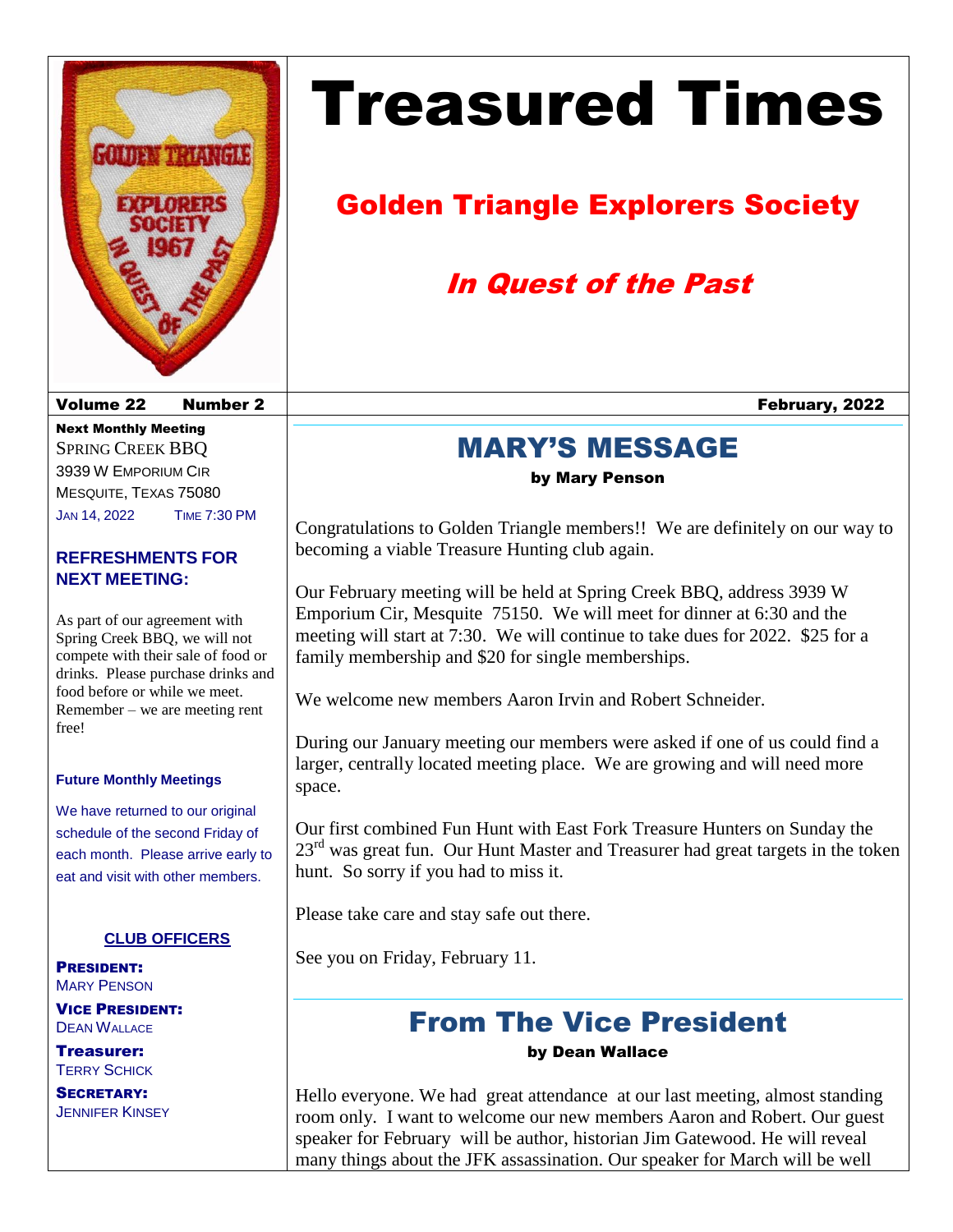

# Treasured Times

# Golden Triangle Explorers Society

# In Quest of the Past

### MARY'S MESSAGE

by Mary Penson

Congratulations to Golden Triangle members!! We are definitely on our way to becoming a viable Treasure Hunting club again.

Our February meeting will be held at Spring Creek BBQ, address 3939 W Emporium Cir, Mesquite 75150. We will meet for dinner at 6:30 and the meeting will start at 7:30. We will continue to take dues for 2022. \$25 for a family membership and \$20 for single memberships.

We welcome new members Aaron Irvin and Robert Schneider.

During our January meeting our members were asked if one of us could find a larger, centrally located meeting place. We are growing and will need more space.

Our first combined Fun Hunt with East Fork Treasure Hunters on Sunday the  $23<sup>rd</sup>$  was great fun. Our Hunt Master and Treasurer had great targets in the token hunt. So sorry if you had to miss it.

Please take care and stay safe out there.

See you on Friday, February 11.

### From The Vice President by Dean Wallace

Hello everyone. We had great attendance at our last meeting, almost standing room only. I want to welcome our new members Aaron and Robert. Our guest speaker for February will be author, historian Jim Gatewood. He will reveal many things about the JFK assassination. Our speaker for March will be well

Volume 22 Number 2 February, 2022

Next Monthly Meeting SPRING CREEK BBQ 3939 W EMPORIUM CIR MESQUITE, TEXAS 75080 JAN 14, 2022 TIME 7:30 PM

#### **REFRESHMENTS FOR NEXT MEETING:**

As part of our agreement with Spring Creek BBQ, we will not compete with their sale of food or drinks. Please purchase drinks and food before or while we meet. Remember – we are meeting rent free!

#### **Future Monthly Meetings**

We have returned to our original schedule of the second Friday of each month. Please arrive early to eat and visit with other members.

#### **CLUB OFFICERS**

PRESIDENT: MARY PENSON

VICE PRESIDENT: **DEAN WALLACE** 

Treasurer: **TERRY SCHICK** 

SECRETARY: **JENNIFER KINSEY**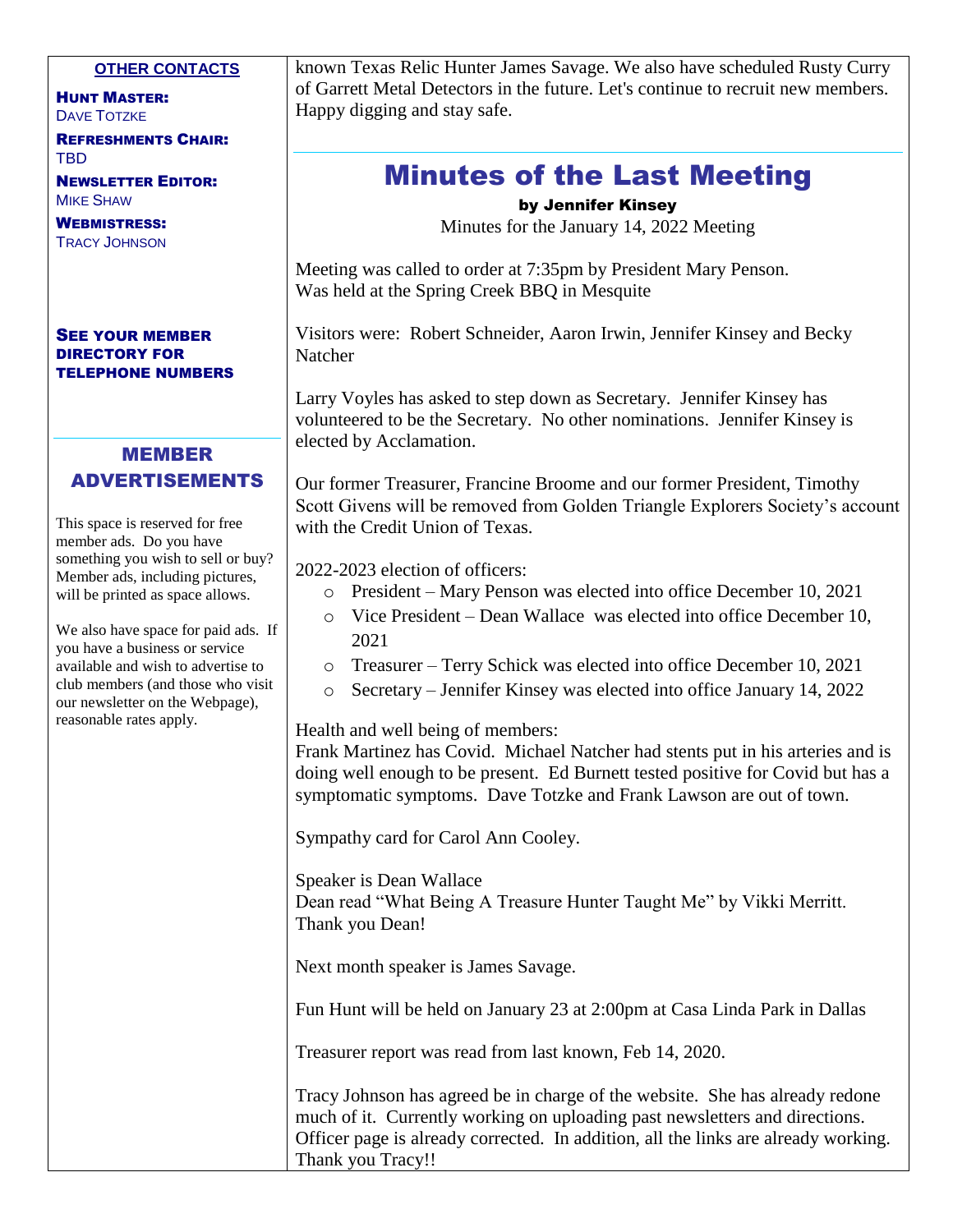#### **OTHER CONTACTS**

HUNT MASTER: DAVE TOTZKE

REFRESHMENTS CHAIR: TBD

NEWSLETTER EDITOR: MIKE SHAW

WEBMISTRESS: TRACY JOHNSON

#### SEE YOUR MEMBER DIRECTORY FOR TELEPHONE NUMBERS

#### MEMBER

#### ADVERTISEMENTS

This space is reserved for free member ads. Do you have something you wish to sell or buy? Member ads, including pictures, will be printed as space allows.

We also have space for paid ads. If you have a business or service available and wish to advertise to club members (and those who visit our newsletter on the Webpage), reasonable rates apply.

known Texas Relic Hunter James Savage. We also have scheduled Rusty Curry of Garrett Metal Detectors in the future. Let's continue to recruit new members. Happy digging and stay safe.

### Minutes of the Last Meeting

by Jennifer Kinsey

Minutes for the January 14, 2022 Meeting

Meeting was called to order at 7:35pm by President Mary Penson. Was held at the Spring Creek BBQ in Mesquite

Visitors were: Robert Schneider, Aaron Irwin, Jennifer Kinsey and Becky Natcher

Larry Voyles has asked to step down as Secretary. Jennifer Kinsey has volunteered to be the Secretary. No other nominations. Jennifer Kinsey is elected by Acclamation.

Our former Treasurer, Francine Broome and our former President, Timothy Scott Givens will be removed from Golden Triangle Explorers Society's account with the Credit Union of Texas.

2022-2023 election of officers:

- o President Mary Penson was elected into office December 10, 2021
- o Vice President Dean Wallace was elected into office December 10, 2021
- o Treasurer Terry Schick was elected into office December 10, 2021
- o Secretary Jennifer Kinsey was elected into office January 14, 2022

Health and well being of members:

Frank Martinez has Covid. Michael Natcher had stents put in his arteries and is doing well enough to be present. Ed Burnett tested positive for Covid but has a symptomatic symptoms. Dave Totzke and Frank Lawson are out of town.

Sympathy card for Carol Ann Cooley.

Speaker is Dean Wallace Dean read "What Being A Treasure Hunter Taught Me" by Vikki Merritt. Thank you Dean!

Next month speaker is James Savage.

Fun Hunt will be held on January 23 at 2:00pm at Casa Linda Park in Dallas

Treasurer report was read from last known, Feb 14, 2020.

Tracy Johnson has agreed be in charge of the website. She has already redone much of it. Currently working on uploading past newsletters and directions. Officer page is already corrected. In addition, all the links are already working. Thank you Tracy!!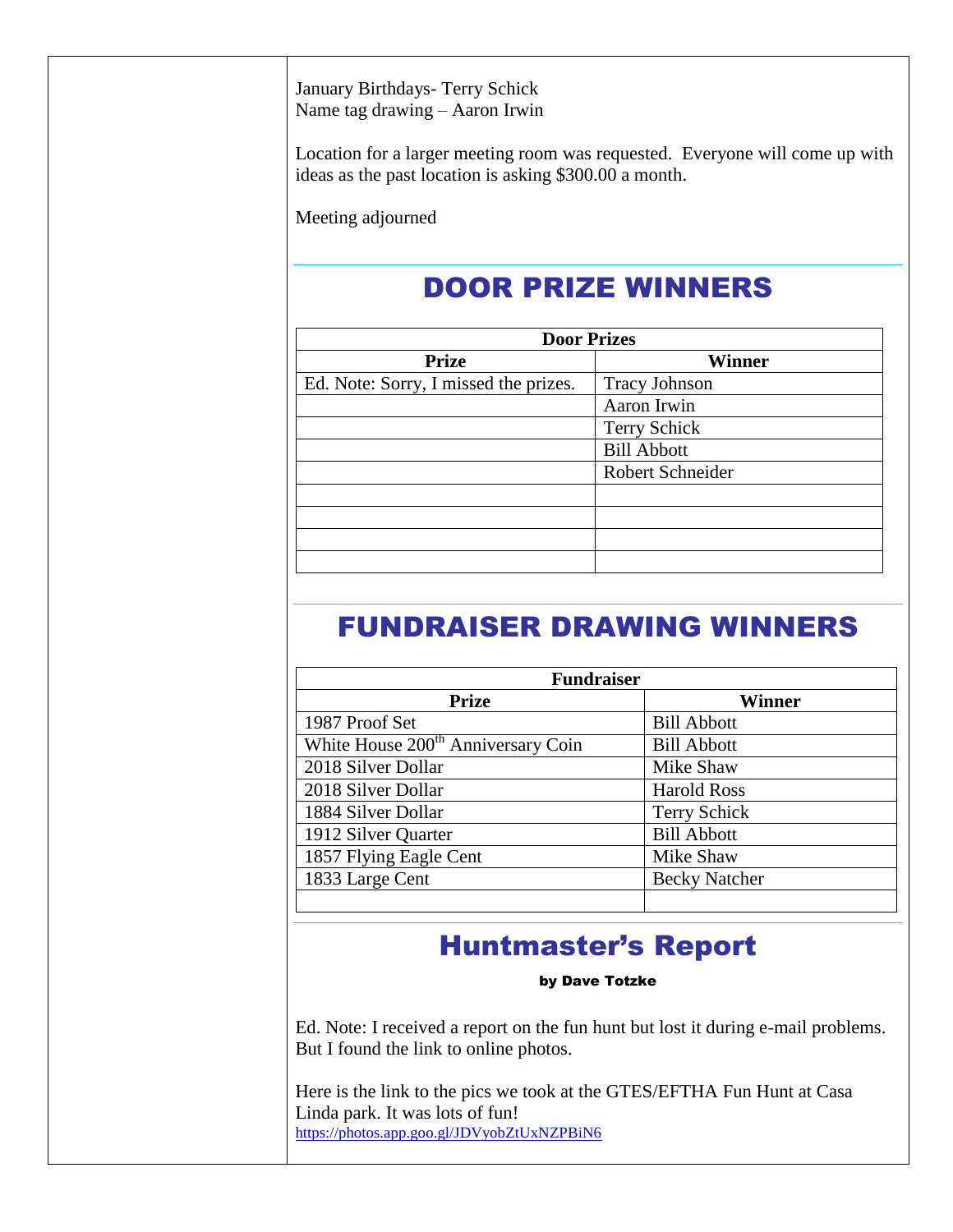January Birthdays- Terry Schick Name tag drawing – Aaron Irwin

Location for a larger meeting room was requested. Everyone will come up with ideas as the past location is asking \$300.00 a month.

Meeting adjourned

# DOOR PRIZE WINNERS

| <b>Door Prizes</b>   |  |  |
|----------------------|--|--|
| <b>Winner</b>        |  |  |
| <b>Tracy Johnson</b> |  |  |
| Aaron Irwin          |  |  |
| <b>Terry Schick</b>  |  |  |
| <b>Bill Abbott</b>   |  |  |
| Robert Schneider     |  |  |
|                      |  |  |
|                      |  |  |
|                      |  |  |
|                      |  |  |
|                      |  |  |

### FUNDRAISER DRAWING WINNERS

| <b>Fundraiser</b>                              |                      |  |
|------------------------------------------------|----------------------|--|
| <b>Prize</b>                                   | Winner               |  |
| 1987 Proof Set                                 | <b>Bill Abbott</b>   |  |
| White House 200 <sup>th</sup> Anniversary Coin | <b>Bill Abbott</b>   |  |
| 2018 Silver Dollar                             | Mike Shaw            |  |
| 2018 Silver Dollar                             | <b>Harold Ross</b>   |  |
| 1884 Silver Dollar                             | <b>Terry Schick</b>  |  |
| 1912 Silver Quarter                            | <b>Bill Abbott</b>   |  |
| 1857 Flying Eagle Cent                         | Mike Shaw            |  |
| 1833 Large Cent                                | <b>Becky Natcher</b> |  |
|                                                |                      |  |

### Huntmaster's Report

by Dave Totzke

Ed. Note: I received a report on the fun hunt but lost it during e-mail problems. But I found the link to online photos.

Here is the link to the pics we took at the GTES/EFTHA Fun Hunt at Casa Linda park. It was lots of fun! <https://photos.app.goo.gl/JDVyobZtUxNZPBiN6>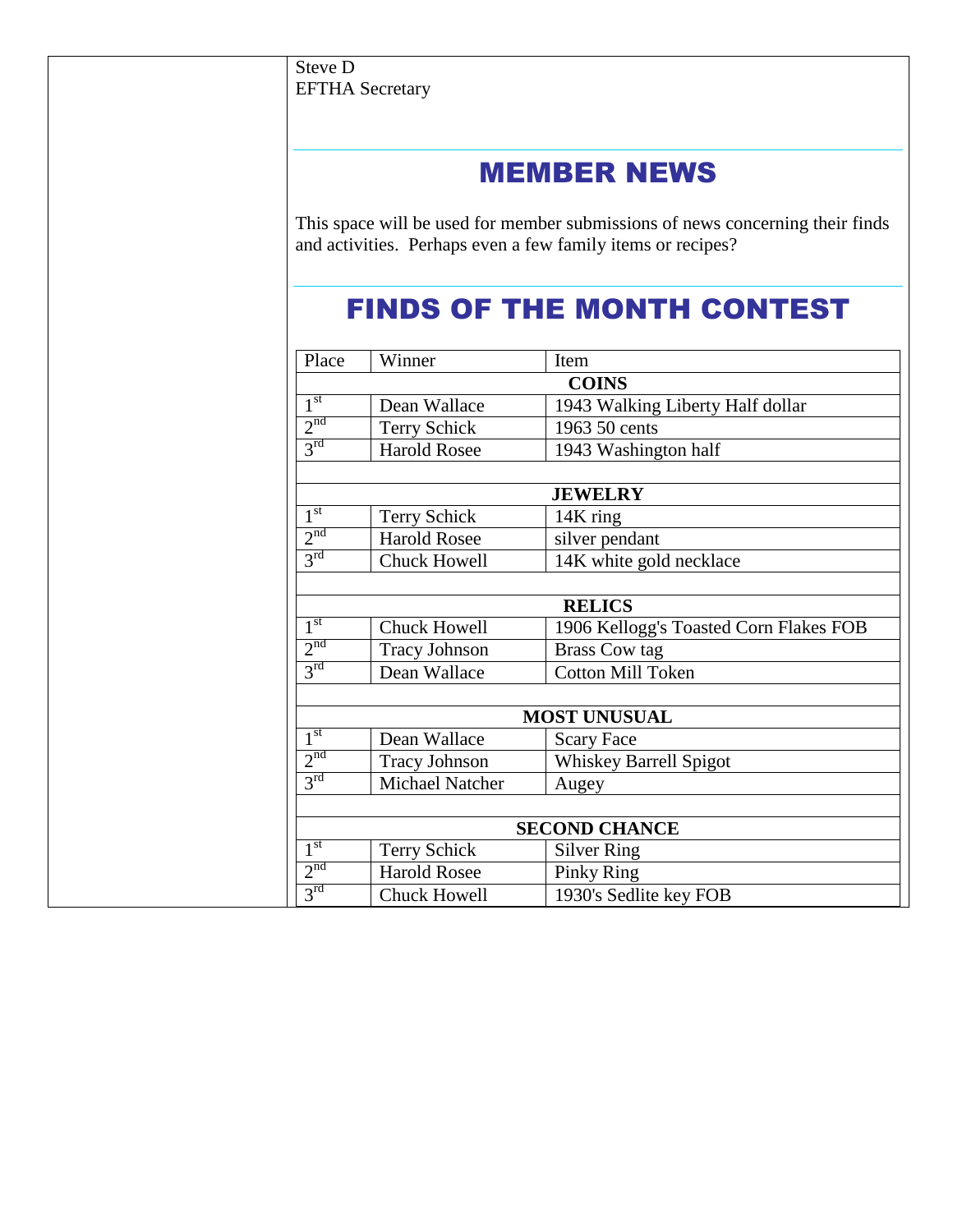### MEMBER NEWS

This space will be used for member submissions of news concerning their finds and activities. Perhaps even a few family items or recipes?

### FINDS OF THE MONTH CONTEST

| Place           | Winner               | Item                                   |
|-----------------|----------------------|----------------------------------------|
|                 |                      | <b>COINS</b>                           |
| 1 <sup>st</sup> | Dean Wallace         | 1943 Walking Liberty Half dollar       |
| 2 <sup>nd</sup> | Terry Schick         | 1963 50 cents                          |
| 3 <sup>rd</sup> | <b>Harold Rosee</b>  | 1943 Washington half                   |
|                 |                      | <b>JEWELRY</b>                         |
| 1 <sup>st</sup> | Terry Schick         | 14K ring                               |
| 2 <sup>nd</sup> | <b>Harold Rosee</b>  | silver pendant                         |
| $3^{\text{rd}}$ | <b>Chuck Howell</b>  | 14K white gold necklace                |
|                 |                      |                                        |
|                 |                      | <b>RELICS</b>                          |
| 1 <sup>st</sup> | <b>Chuck Howell</b>  | 1906 Kellogg's Toasted Corn Flakes FOB |
| 2 <sup>nd</sup> | <b>Tracy Johnson</b> | <b>Brass Cow tag</b>                   |
| $3^{\text{rd}}$ | Dean Wallace         | <b>Cotton Mill Token</b>               |
|                 |                      | <b>MOST UNUSUAL</b>                    |
| 1 <sup>st</sup> | Dean Wallace         | <b>Scary Face</b>                      |
| 2 <sup>nd</sup> | <b>Tracy Johnson</b> | Whiskey Barrell Spigot                 |
| $3^{\text{rd}}$ | Michael Natcher      | Augey                                  |
|                 |                      |                                        |
|                 |                      | <b>SECOND CHANCE</b>                   |
| 1 <sup>st</sup> | Terry Schick         | <b>Silver Ring</b>                     |
| 2 <sup>nd</sup> | <b>Harold Rosee</b>  | <b>Pinky Ring</b>                      |
| $3^{\text{rd}}$ | Chuck Howell         | 1930's Sedlite key FOB                 |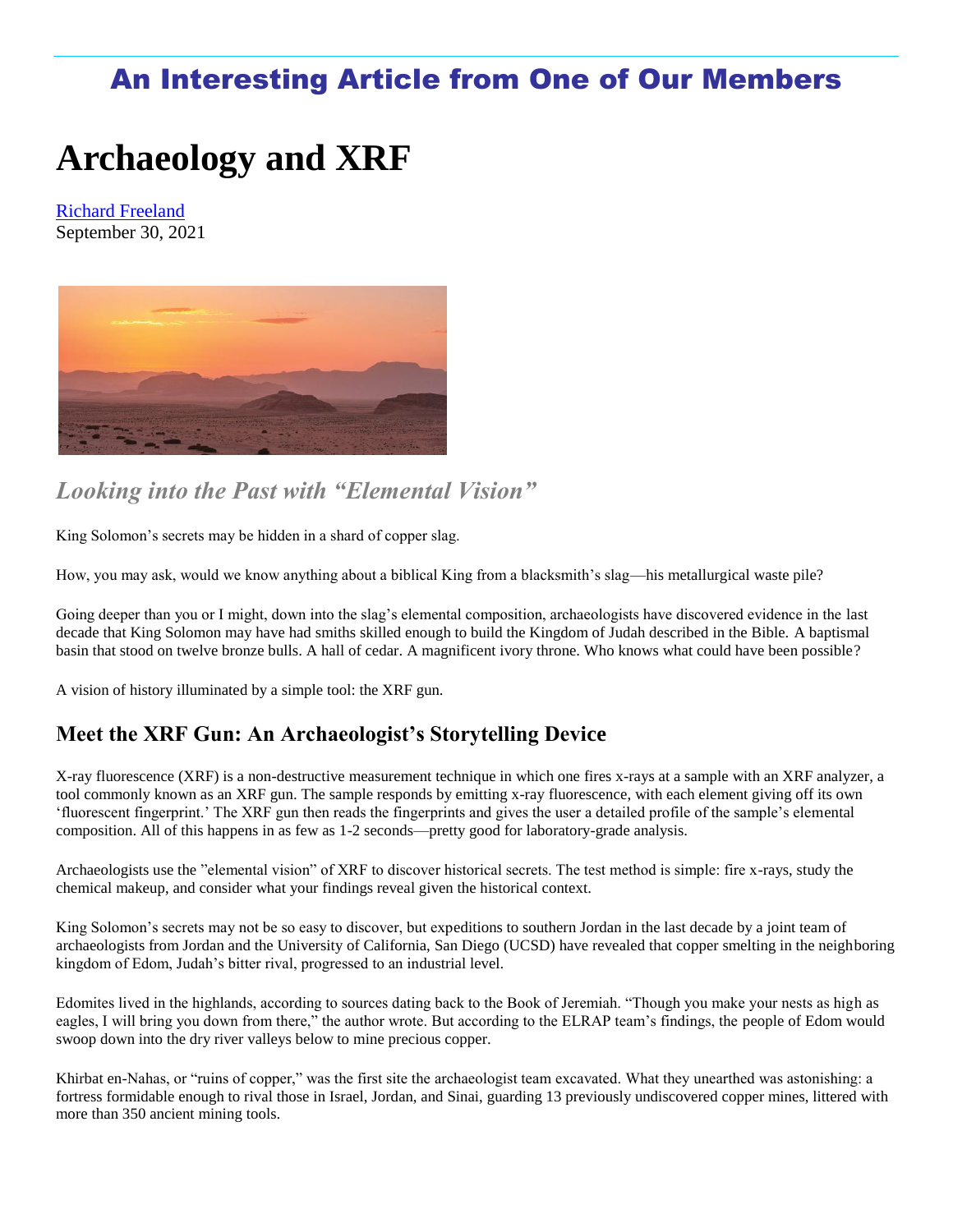### An Interesting Article from One of Our Members

# **Archaeology and XRF**

[Richard Freeland](https://incompliancemag.com/author/author_freeland-richard/) September 30, 2021



### *Looking into the Past with "Elemental Vision"*

King Solomon's secrets may be hidden in a shard of copper slag.

How, you may ask, would we know anything about a biblical King from a blacksmith's slag—his metallurgical waste pile?

Going deeper than you or I might, down into the slag's elemental composition, archaeologists have discovered evidence in the last decade that King Solomon may have had smiths skilled enough to build the Kingdom of Judah described in the Bible. A baptismal basin that stood on twelve bronze bulls. A hall of cedar. A magnificent ivory throne. Who knows what could have been possible?

A vision of history illuminated by a simple tool: the XRF gun.

#### **Meet the XRF Gun: An Archaeologist's Storytelling Device**

X-ray fluorescence (XRF) is a non-destructive measurement technique in which one fires x-rays at a sample with an XRF analyzer, a tool commonly known as an XRF gun. The sample responds by emitting x-ray fluorescence, with each element giving off its own 'fluorescent fingerprint.' The XRF gun then reads the fingerprints and gives the user a detailed profile of the sample's elemental composition. All of this happens in as few as 1-2 seconds—pretty good for laboratory-grade analysis.

Archaeologists use the "elemental vision" of XRF to discover historical secrets. The test method is simple: fire x-rays, study the chemical makeup, and consider what your findings reveal given the historical context.

King Solomon's secrets may not be so easy to discover, but expeditions to southern Jordan in the last decade by a joint team of archaeologists from Jordan and the University of California, San Diego (UCSD) have revealed that copper smelting in the neighboring kingdom of Edom, Judah's bitter rival, progressed to an industrial level.

Edomites lived in the highlands, according to sources dating back to the Book of Jeremiah. "Though you make your nests as high as eagles, I will bring you down from there," the author wrote. But according to the ELRAP team's findings, the people of Edom would swoop down into the dry river valleys below to mine precious copper.

Khirbat en-Nahas, or "ruins of copper," was the first site the archaeologist team excavated. What they unearthed was astonishing: a fortress formidable enough to rival those in Israel, Jordan, and Sinai, guarding 13 previously undiscovered copper mines, littered with more than 350 ancient mining tools.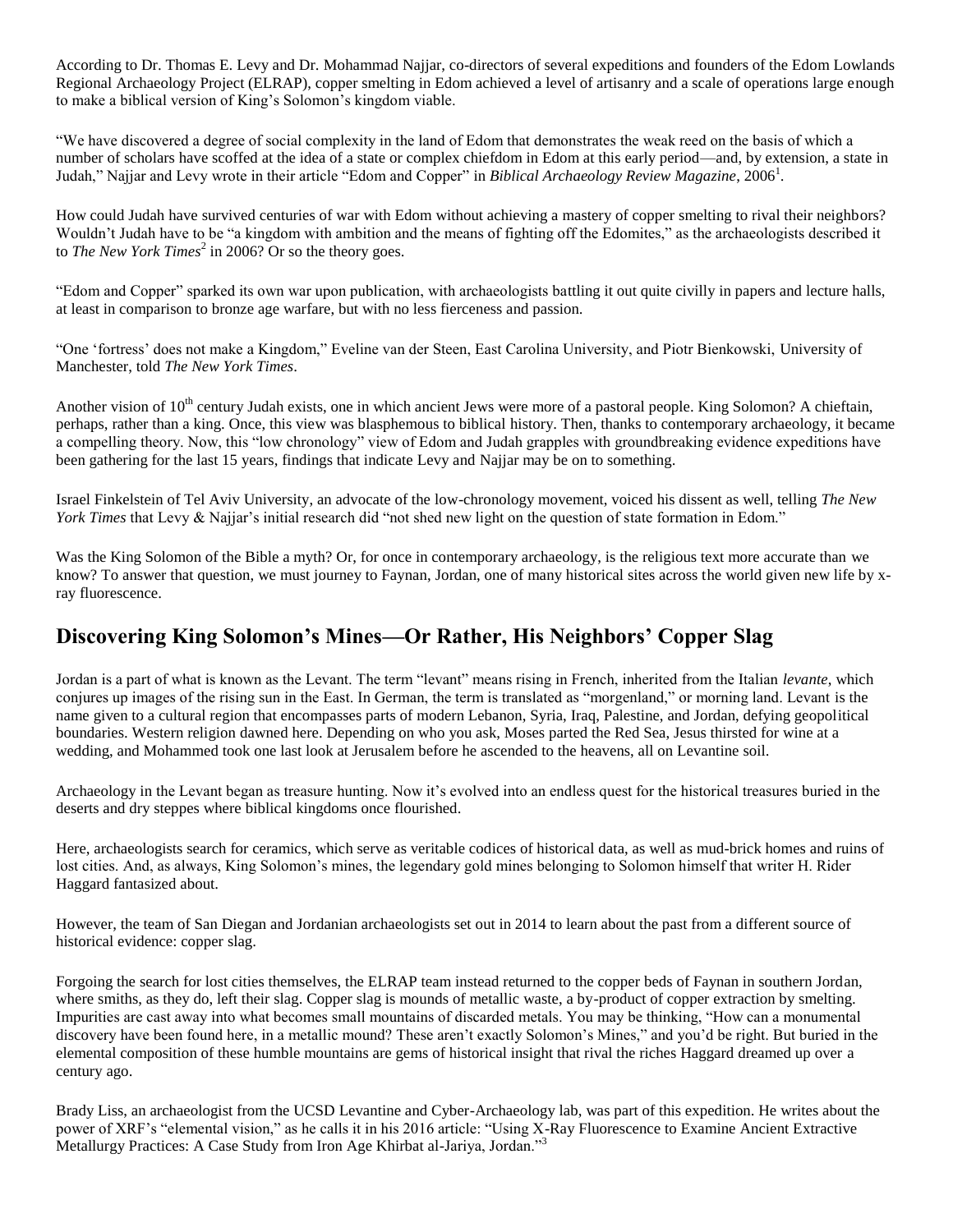According to Dr. Thomas E. Levy and Dr. Mohammad Najjar, co-directors of several expeditions and founders of the Edom Lowlands Regional Archaeology Project (ELRAP), copper smelting in Edom achieved a level of artisanry and a scale of operations large enough to make a biblical version of King's Solomon's kingdom viable.

"We have discovered a degree of social complexity in the land of Edom that demonstrates the weak reed on the basis of which a number of scholars have scoffed at the idea of a state or complex chiefdom in Edom at this early period—and, by extension, a state in Judah," Najjar and Levy wrote in their article "Edom and Copper" in *Biblical Archaeology Review Magazine*, 2006<sup>1</sup> .

How could Judah have survived centuries of war with Edom without achieving a mastery of copper smelting to rival their neighbors? Wouldn't Judah have to be "a kingdom with ambition and the means of fighting off the Edomites," as the archaeologists described it to *The New York Times*<sup>2</sup> in 2006? Or so the theory goes.

"Edom and Copper" sparked its own war upon publication, with archaeologists battling it out quite civilly in papers and lecture halls, at least in comparison to bronze age warfare, but with no less fierceness and passion.

"One 'fortress' does not make a Kingdom," Eveline van der Steen, East Carolina University, and Piotr Bienkowski, University of Manchester, told *The New York Times*.

Another vision of  $10<sup>th</sup>$  century Judah exists, one in which ancient Jews were more of a pastoral people. King Solomon? A chieftain, perhaps, rather than a king. Once, this view was blasphemous to biblical history. Then, thanks to contemporary archaeology, it became a compelling theory. Now, this "low chronology" view of Edom and Judah grapples with groundbreaking evidence expeditions have been gathering for the last 15 years, findings that indicate Levy and Najjar may be on to something.

Israel Finkelstein of Tel Aviv University, an advocate of the low-chronology movement, voiced his dissent as well, telling *The New York Times* that Levy & Najjar's initial research did "not shed new light on the question of state formation in Edom."

Was the King Solomon of the Bible a myth? Or, for once in contemporary archaeology, is the religious text more accurate than we know? To answer that question, we must journey to Faynan, Jordan, one of many historical sites across the world given new life by xray fluorescence.

#### **Discovering King Solomon's Mines—Or Rather, His Neighbors' Copper Slag**

Jordan is a part of what is known as the Levant. The term "levant" means rising in French, inherited from the Italian *levante*, which conjures up images of the rising sun in the East. In German, the term is translated as "morgenland," or morning land. Levant is the name given to a cultural region that encompasses parts of modern Lebanon, Syria, Iraq, Palestine, and Jordan, defying geopolitical boundaries. Western religion dawned here. Depending on who you ask, Moses parted the Red Sea, Jesus thirsted for wine at a wedding, and Mohammed took one last look at Jerusalem before he ascended to the heavens, all on Levantine soil.

Archaeology in the Levant began as treasure hunting. Now it's evolved into an endless quest for the historical treasures buried in the deserts and dry steppes where biblical kingdoms once flourished.

Here, archaeologists search for ceramics, which serve as veritable codices of historical data, as well as mud-brick homes and ruins of lost cities. And, as always, King Solomon's mines, the legendary gold mines belonging to Solomon himself that writer H. Rider Haggard fantasized about.

However, the team of San Diegan and Jordanian archaeologists set out in 2014 to learn about the past from a different source of historical evidence: copper slag.

Forgoing the search for lost cities themselves, the ELRAP team instead returned to the copper beds of Faynan in southern Jordan, where smiths, as they do, left their slag. Copper slag is mounds of metallic waste, a by-product of copper extraction by smelting. Impurities are cast away into what becomes small mountains of discarded metals. You may be thinking, "How can a monumental discovery have been found here, in a metallic mound? These aren't exactly Solomon's Mines," and you'd be right. But buried in the elemental composition of these humble mountains are gems of historical insight that rival the riches Haggard dreamed up over a century ago.

Brady Liss, an archaeologist from the UCSD Levantine and Cyber-Archaeology lab, was part of this expedition. He writes about the power of XRF's "elemental vision," as he calls it in his 2016 article: "Using X-Ray Fluorescence to Examine Ancient Extractive Metallurgy Practices: A Case Study from Iron Age Khirbat al-Jariya, Jordan."<sup>3</sup>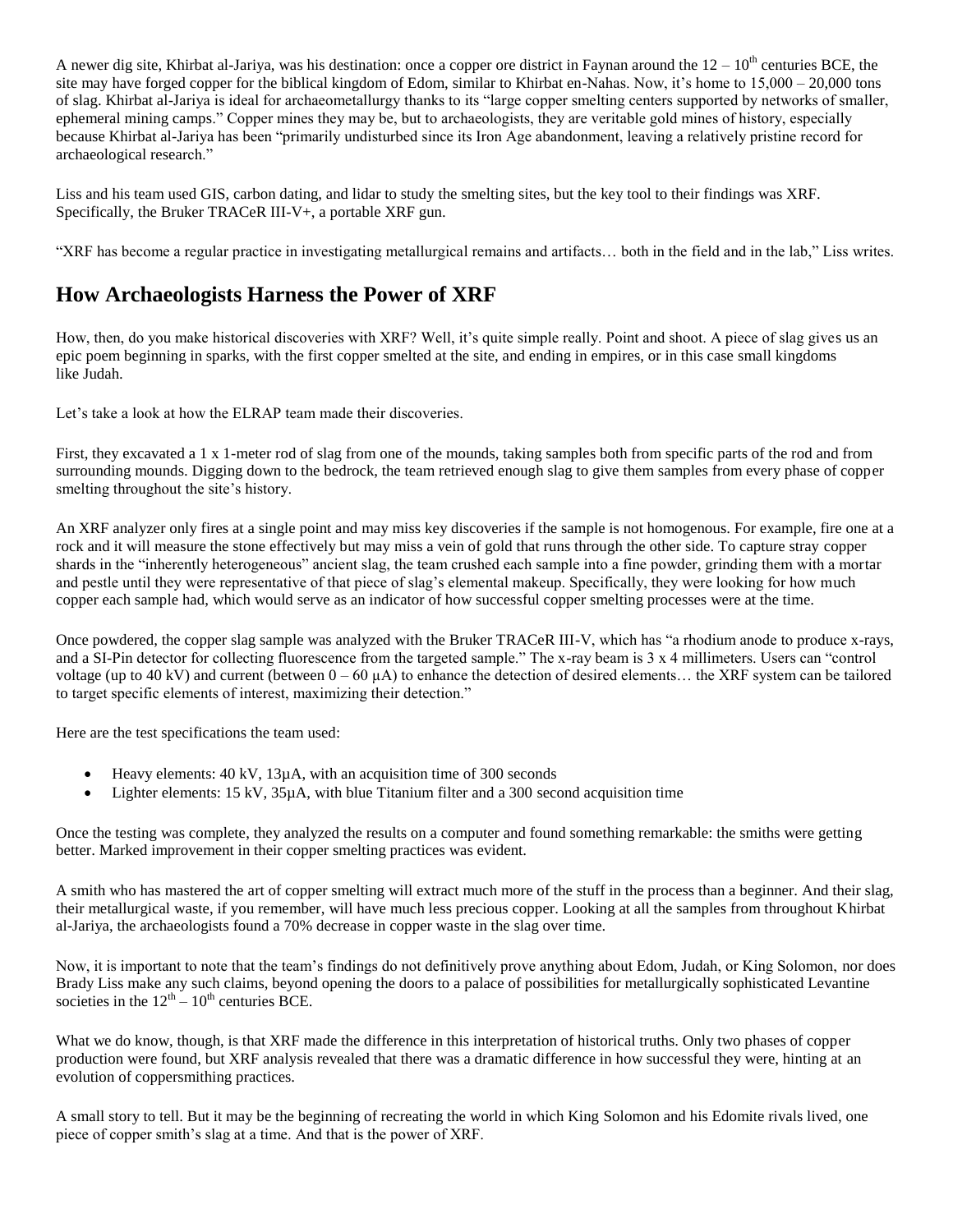A newer dig site, Khirbat al-Jariya, was his destination: once a copper ore district in Faynan around the  $12 - 10<sup>th</sup>$  centuries BCE, the site may have forged copper for the biblical kingdom of Edom, similar to Khirbat en-Nahas. Now, it's home to 15,000 – 20,000 tons of slag. Khirbat al-Jariya is ideal for archaeometallurgy thanks to its "large copper smelting centers supported by networks of smaller, ephemeral mining camps." Copper mines they may be, but to archaeologists, they are veritable gold mines of history, especially because Khirbat al-Jariya has been "primarily undisturbed since its Iron Age abandonment, leaving a relatively pristine record for archaeological research."

Liss and his team used GIS, carbon dating, and lidar to study the smelting sites, but the key tool to their findings was XRF. Specifically, the Bruker TRACeR III-V+, a portable XRF gun.

"XRF has become a regular practice in investigating metallurgical remains and artifacts… both in the field and in the lab," Liss writes.

#### **How Archaeologists Harness the Power of XRF**

How, then, do you make historical discoveries with XRF? Well, it's quite simple really. Point and shoot. A piece of slag gives us an epic poem beginning in sparks, with the first copper smelted at the site, and ending in empires, or in this case small kingdoms like Judah.

Let's take a look at how the ELRAP team made their discoveries.

First, they excavated a 1 x 1-meter rod of slag from one of the mounds, taking samples both from specific parts of the rod and from surrounding mounds. Digging down to the bedrock, the team retrieved enough slag to give them samples from every phase of copper smelting throughout the site's history.

An XRF analyzer only fires at a single point and may miss key discoveries if the sample is not homogenous. For example, fire one at a rock and it will measure the stone effectively but may miss a vein of gold that runs through the other side. To capture stray copper shards in the "inherently heterogeneous" ancient slag, the team crushed each sample into a fine powder, grinding them with a mortar and pestle until they were representative of that piece of slag's elemental makeup. Specifically, they were looking for how much copper each sample had, which would serve as an indicator of how successful copper smelting processes were at the time.

Once powdered, the copper slag sample was analyzed with the Bruker TRACeR III-V, which has "a rhodium anode to produce x-rays, and a SI-Pin detector for collecting fluorescence from the targeted sample." The x-ray beam is 3 x 4 millimeters. Users can "control voltage (up to 40 kV) and current (between  $0 - 60 \mu A$ ) to enhance the detection of desired elements... the XRF system can be tailored to target specific elements of interest, maximizing their detection."

Here are the test specifications the team used:

- Heavy elements:  $40 \text{ kV}$ ,  $13 \mu\text{A}$ , with an acquisition time of 300 seconds
- Lighter elements:  $15 \text{ kV}$ ,  $35 \mu\text{A}$ , with blue Titanium filter and a 300 second acquisition time

Once the testing was complete, they analyzed the results on a computer and found something remarkable: the smiths were getting better. Marked improvement in their copper smelting practices was evident.

A smith who has mastered the art of copper smelting will extract much more of the stuff in the process than a beginner. And their slag, their metallurgical waste, if you remember, will have much less precious copper. Looking at all the samples from throughout Khirbat al-Jariya, the archaeologists found a 70% decrease in copper waste in the slag over time.

Now, it is important to note that the team's findings do not definitively prove anything about Edom, Judah, or King Solomon, nor does Brady Liss make any such claims, beyond opening the doors to a palace of possibilities for metallurgically sophisticated Levantine societies in the  $12<sup>th</sup> - 10<sup>th</sup>$  centuries BCE.

What we do know, though, is that XRF made the difference in this interpretation of historical truths. Only two phases of copper production were found, but XRF analysis revealed that there was a dramatic difference in how successful they were, hinting at an evolution of coppersmithing practices.

A small story to tell. But it may be the beginning of recreating the world in which King Solomon and his Edomite rivals lived, one piece of copper smith's slag at a time. And that is the power of XRF.